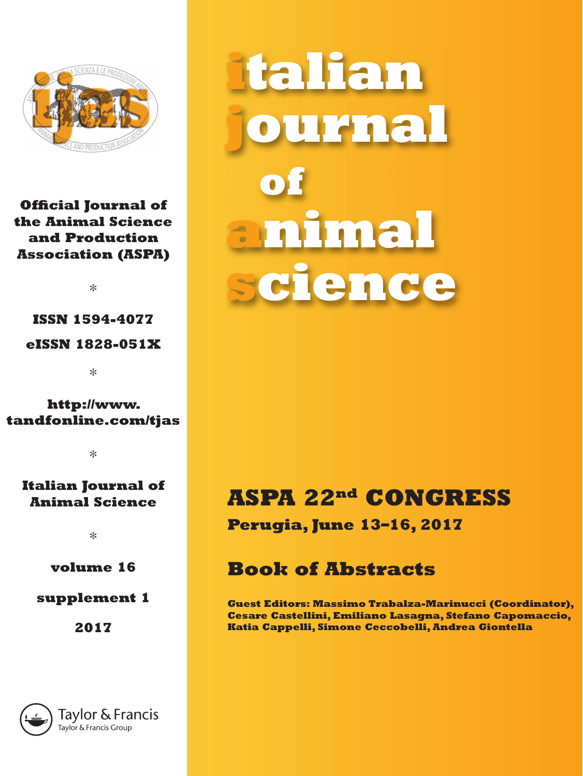

### **Official Journal of the Animal Science and Production Association (ASPA)**

∗

## **ISSN 1594-4077 eISSN 1828-051X**

∗

### **http://www. tandfonline.com/tjas**

∗

### **Italian Journal of Animal Science**

∗

**volume 16**

### **supplement 1**

**2017**



**italian journal of animal science**

# **ASPA 22nd CONGRESS**

**Perugia, June 13–16, 2017**

## **Book of Abstracts**

**Guest Editors: Massimo Trabalza-Marinucci (Coordinator), Cesare Castellini, Emiliano Lasagna, Stefano Capomaccio, Katia Cappelli, Simone Ceccobelli, Andrea Giontella**